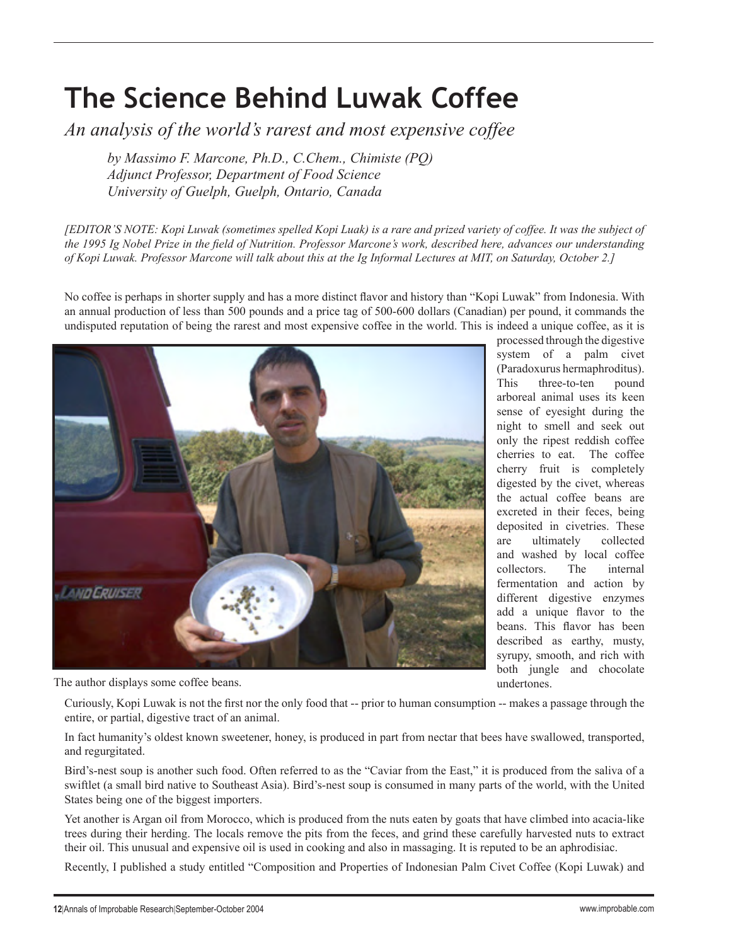## **The Science Behind Luwak Coffee**

*An analysis of the world's rarest and most expensive coffee*

*by Massimo F. Marcone, Ph.D., C.Chem., Chimiste (PQ) Adjunct Professor, Department of Food Science University of Guelph, Guelph, Ontario, Canada*

*[EDITOR'S NOTE: Kopi Luwak (sometimes spelled Kopi Luak) is a rare and prized variety of coffee. It was the subject of the 1995 Ig Nobel Prize in the field of Nutrition. Professor Marcone's work, described here, advances our understanding of Kopi Luwak. Professor Marcone will talk about this at the Ig Informal Lectures at MIT, on Saturday, October 2.]*

No coffee is perhaps in shorter supply and has a more distinct flavor and history than "Kopi Luwak" from Indonesia. With an annual production of less than 500 pounds and a price tag of 500-600 dollars (Canadian) per pound, it commands the undisputed reputation of being the rarest and most expensive coffee in the world. This is indeed a unique coffee, as it is



The author displays some coffee beans.

processed through the digestive system of a palm civet (Paradoxurus hermaphroditus). This three-to-ten pound arboreal animal uses its keen sense of eyesight during the night to smell and seek out only the ripest reddish coffee cherries to eat. The coffee cherry fruit is completely digested by the civet, whereas the actual coffee beans are excreted in their feces, being deposited in civetries. These are ultimately collected and washed by local coffee collectors. The internal fermentation and action by different digestive enzymes add a unique flavor to the beans. This flavor has been described as earthy, musty, syrupy, smooth, and rich with both jungle and chocolate undertones.

Curiously, Kopi Luwak is not the first nor the only food that -- prior to human consumption -- makes a passage through the entire, or partial, digestive tract of an animal.

In fact humanity's oldest known sweetener, honey, is produced in part from nectar that bees have swallowed, transported, and regurgitated.

Bird's-nest soup is another such food. Often referred to as the "Caviar from the East," it is produced from the saliva of a swiftlet (a small bird native to Southeast Asia). Bird's-nest soup is consumed in many parts of the world, with the United States being one of the biggest importers.

Yet another is Argan oil from Morocco, which is produced from the nuts eaten by goats that have climbed into acacia-like trees during their herding. The locals remove the pits from the feces, and grind these carefully harvested nuts to extract their oil. This unusual and expensive oil is used in cooking and also in massaging. It is reputed to be an aphrodisiac.

Recently, I published a study entitled "Composition and Properties of Indonesian Palm Civet Coffee (Kopi Luwak) and